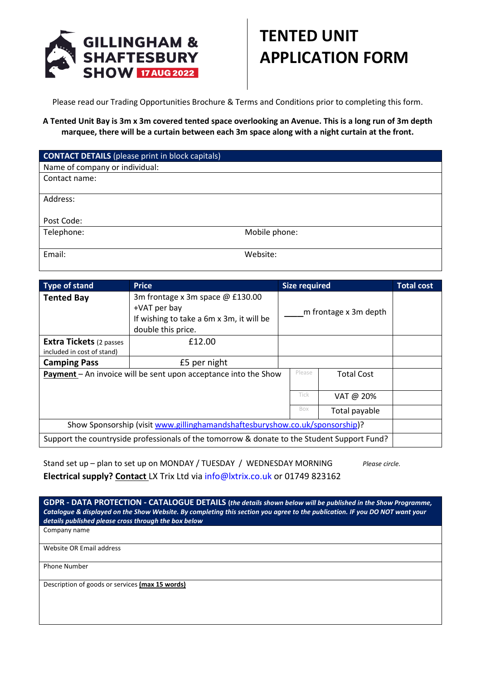

## **TENTED UNIT APPLICATION FORM**

Please read our Trading Opportunities Brochure & Terms and Conditions prior to completing this form.

**A Tented Unit Bay is 3m x 3m covered tented space overlooking an Avenue. This is a long run of 3m depth marquee, there will be a curtain between each 3m space along with a night curtain at the front.** 

| <b>CONTACT DETAILS</b> (please print in block capitals) |               |
|---------------------------------------------------------|---------------|
| Name of company or individual:                          |               |
| Contact name:                                           |               |
|                                                         |               |
| Address:                                                |               |
|                                                         |               |
| Post Code:                                              |               |
| Telephone:                                              | Mobile phone: |
|                                                         |               |
| Email:                                                  | Website:      |

| Type of stand                                                                               | <b>Price</b>                             | <b>Size required</b>  |        |                   | <b>Total cost</b> |
|---------------------------------------------------------------------------------------------|------------------------------------------|-----------------------|--------|-------------------|-------------------|
| <b>Tented Bay</b>                                                                           | 3m frontage x 3m space @ £130.00         | m frontage x 3m depth |        |                   |                   |
|                                                                                             | +VAT per bay                             |                       |        |                   |                   |
|                                                                                             | If wishing to take a 6m x 3m, it will be |                       |        |                   |                   |
|                                                                                             | double this price.                       |                       |        |                   |                   |
| <b>Extra Tickets</b> (2 passes                                                              | £12.00                                   |                       |        |                   |                   |
| included in cost of stand)                                                                  |                                          |                       |        |                   |                   |
| <b>Camping Pass</b>                                                                         | £5 per night                             |                       |        |                   |                   |
| <b>Payment</b> – An invoice will be sent upon acceptance into the Show                      |                                          |                       | Please | <b>Total Cost</b> |                   |
|                                                                                             |                                          |                       |        |                   |                   |
|                                                                                             |                                          |                       | Tick   | VAT @ 20%         |                   |
|                                                                                             |                                          |                       | Box    | Total payable     |                   |
| Show Sponsorship (visit www.gillinghamandshaftesburyshow.co.uk/sponsorship)?                |                                          |                       |        |                   |                   |
| Support the countryside professionals of the tomorrow & donate to the Student Support Fund? |                                          |                       |        |                   |                   |

Stand set up – plan to set up on MONDAY / TUESDAY / WEDNESDAY MORNING *Please circle.* **Electrical supply? Contact** LX Trix Ltd via [info@lxtrix.co.uk](mailto:info@lxtrix.co.uk) or 01749 823162

**GDPR - DATA PROTECTION - CATALOGUE DETAILS (***the details shown below will be published in the Show Programme, Catalogue & displayed on the Show Website. By completing this section you agree to the publication. IF you DO NOT want your details published please cross through the box below*

Company name

Website OR Email address

Phone Number

Description of goods or services **(max 15 words)**